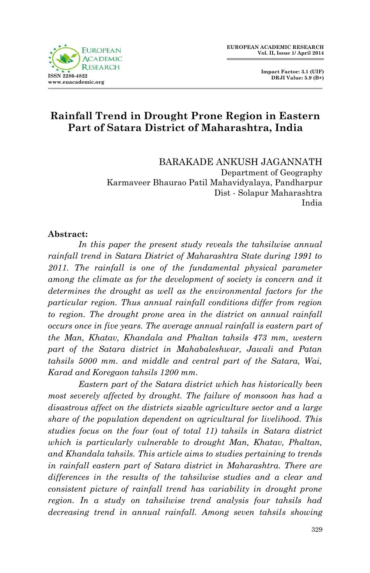

 **Impact Factor: 3.1 (UIF) DRJI Value: 5.9 (B+)**

# **Rainfall Trend in Drought Prone Region in Eastern Part of Satara District of Maharashtra, India**

BARAKADE ANKUSH JAGANNATH Department of Geography Karmaveer Bhaurao Patil Mahavidyalaya, Pandharpur Dist - Solapur Maharashtra India

#### **Abstract:**

*In this paper the present study reveals the tahsilwise annual*  rainfall trend in Satara District of Maharashtra State during 1991 to 2011. The rainfall is one of the fundamental physical parameter *among the climate as for the development of society is concern and it determines the drought as well as the environmental factors for the particular region. Thus annual rainfall conditions differ from region to region. The drought prone area in the district on annual rainfall occurs once in five years. The average annual rainfall is eastern part of the Man, Khatav, Khandala and Phaltan tahsils 473 mm, western part of the Satara district in Mahabaleshwar, Jawali and Patan tahsils 5000 mm. and middle and central part of the Satara, Wai, Karad and Koregaon tahsils 1200 mm.* 

 *Eastern part of the Satara district which has historically been most severely affected by drought. The failure of monsoon has had a disastrous affect on the districts sizable agriculture sector and a large share of the population dependent on agricultural for livelihood. This studies focus on the four (out of total 11) tahsils in Satara district which is particularly vulnerable to drought Man, Khatav, Phaltan, and Khandala tahsils. This article aims to studies pertaining to trends in rainfall eastern part of Satara district in Maharashtra. There are differences in the results of the tahsilwise studies and a clear and consistent picture of rainfall trend has variability in drought prone region. In a study on tahsilwise trend analysis four tahsils had decreasing trend in annual rainfall. Among seven tahsils showing*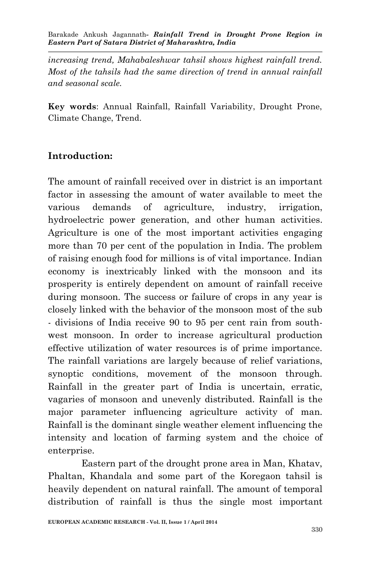*increasing trend, Mahabaleshwar tahsil shows highest rainfall trend. Most of the tahsils had the same direction of trend in annual rainfall and seasonal scale.*

**Key words**: Annual Rainfall, Rainfall Variability, Drought Prone, Climate Change, Trend.

### **Introduction:**

The amount of rainfall received over in district is an important factor in assessing the amount of water available to meet the various demands of agriculture, industry, irrigation, hydroelectric power generation, and other human activities. Agriculture is one of the most important activities engaging more than 70 per cent of the population in India. The problem of raising enough food for millions is of vital importance. Indian economy is inextricably linked with the monsoon and its prosperity is entirely dependent on amount of rainfall receive during monsoon. The success or failure of crops in any year is closely linked with the behavior of the monsoon most of the sub - divisions of India receive 90 to 95 per cent rain from southwest monsoon. In order to increase agricultural production effective utilization of water resources is of prime importance. The rainfall variations are largely because of relief variations, synoptic conditions, movement of the monsoon through. Rainfall in the greater part of India is uncertain, erratic, vagaries of monsoon and unevenly distributed. Rainfall is the major parameter influencing agriculture activity of man. Rainfall is the dominant single weather element influencing the intensity and location of farming system and the choice of enterprise.

 Eastern part of the drought prone area in Man, Khatav, Phaltan, Khandala and some part of the Koregaon tahsil is heavily dependent on natural rainfall. The amount of temporal distribution of rainfall is thus the single most important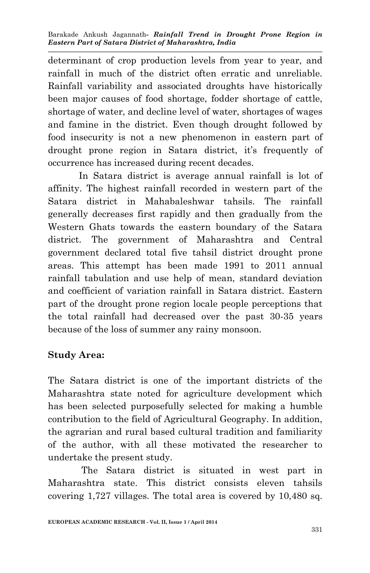determinant of crop production levels from year to year, and rainfall in much of the district often erratic and unreliable. Rainfall variability and associated droughts have historically been major causes of food shortage, fodder shortage of cattle, shortage of water, and decline level of water, shortages of wages and famine in the district. Even though drought followed by food insecurity is not a new phenomenon in eastern part of drought prone region in Satara district, it's frequently of occurrence has increased during recent decades.

 In Satara district is average annual rainfall is lot of affinity. The highest rainfall recorded in western part of the Satara district in Mahabaleshwar tahsils. The rainfall generally decreases first rapidly and then gradually from the Western Ghats towards the eastern boundary of the Satara district. The government of Maharashtra and Central government declared total five tahsil district drought prone areas. This attempt has been made 1991 to 2011 annual rainfall tabulation and use help of mean, standard deviation and coefficient of variation rainfall in Satara district. Eastern part of the drought prone region locale people perceptions that the total rainfall had decreased over the past 30-35 years because of the loss of summer any rainy monsoon.

## **Study Area:**

The Satara district is one of the important districts of the Maharashtra state noted for agriculture development which has been selected purposefully selected for making a humble contribution to the field of Agricultural Geography. In addition, the agrarian and rural based cultural tradition and familiarity of the author, with all these motivated the researcher to undertake the present study.

 The Satara district is situated in west part in Maharashtra state. This district consists eleven tahsils covering 1,727 villages. The total area is covered by 10,480 sq.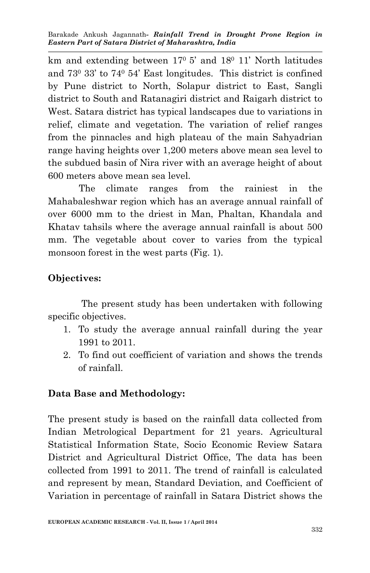km and extending between  $17^{\circ}$  5' and  $18^{\circ}$  11' North latitudes and 73<sup>0</sup> 33' to 74<sup>0</sup> 54' East longitudes. This district is confined by Pune district to North, Solapur district to East, Sangli district to South and Ratanagiri district and Raigarh district to West. Satara district has typical landscapes due to variations in relief, climate and vegetation. The variation of relief ranges from the pinnacles and high plateau of the main Sahyadrian range having heights over 1,200 meters above mean sea level to the subdued basin of Nira river with an average height of about 600 meters above mean sea level.

 The climate ranges from the rainiest in the Mahabaleshwar region which has an average annual rainfall of over 6000 mm to the driest in Man, Phaltan, Khandala and Khatav tahsils where the average annual rainfall is about 500 mm. The vegetable about cover to varies from the typical monsoon forest in the west parts (Fig. 1).

## **Objectives:**

 The present study has been undertaken with following specific objectives.

- 1. To study the average annual rainfall during the year 1991 to 2011.
- 2. To find out coefficient of variation and shows the trends of rainfall.

## **Data Base and Methodology:**

The present study is based on the rainfall data collected from Indian Metrological Department for 21 years. Agricultural Statistical Information State, Socio Economic Review Satara District and Agricultural District Office, The data has been collected from 1991 to 2011. The trend of rainfall is calculated and represent by mean, Standard Deviation, and Coefficient of Variation in percentage of rainfall in Satara District shows the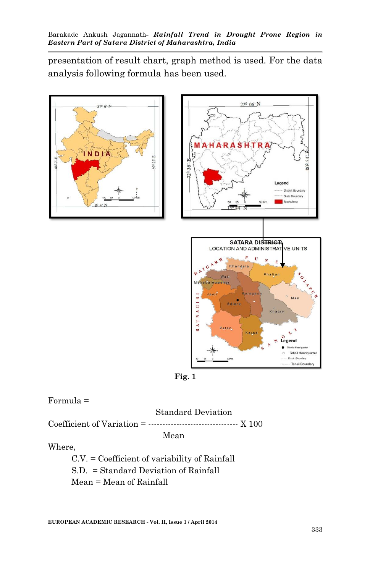presentation of result chart, graph method is used. For the data analysis following formula has been used.



**Fig. 1**

### Formula =

#### Standard Deviation

Coefficient of Variation =  $\ldots$   $\ldots$   $\ldots$   $\ldots$   $\ldots$   $\ldots$   $\ldots$   $\ldots$   $\ldots$   $\ldots$   $\ldots$   $\ldots$   $\ldots$   $\ldots$   $\ldots$   $\ldots$   $\ldots$   $\ldots$   $\ldots$   $\ldots$   $\ldots$   $\ldots$   $\ldots$   $\ldots$   $\ldots$   $\ldots$   $\ldots$   $\ldots$   $\ldots$   $\ldots$   $\ldots$   $\ldots$   $\$ 

Mean

#### Where,

 C.V. = Coefficient of variability of Rainfall S.D. = Standard Deviation of Rainfall Mean = Mean of Rainfall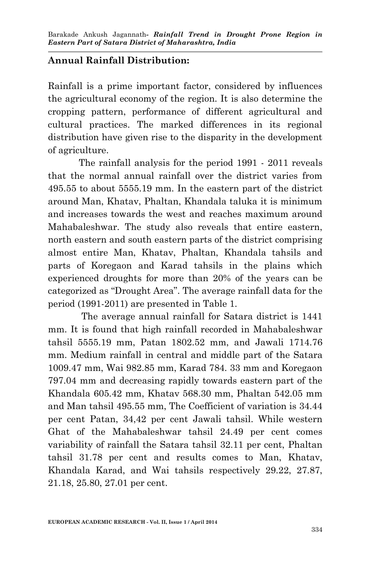## **Annual Rainfall Distribution:**

Rainfall is a prime important factor, considered by influences the agricultural economy of the region. It is also determine the cropping pattern, performance of different agricultural and cultural practices. The marked differences in its regional distribution have given rise to the disparity in the development of agriculture.

 The rainfall analysis for the period 1991 - 2011 reveals that the normal annual rainfall over the district varies from 495.55 to about 5555.19 mm. In the eastern part of the district around Man, Khatav, Phaltan, Khandala taluka it is minimum and increases towards the west and reaches maximum around Mahabaleshwar. The study also reveals that entire eastern, north eastern and south eastern parts of the district comprising almost entire Man, Khatav, Phaltan, Khandala tahsils and parts of Koregaon and Karad tahsils in the plains which experienced droughts for more than 20% of the years can be categorized as "Drought Area". The average rainfall data for the period (1991-2011) are presented in Table 1.

 The average annual rainfall for Satara district is 1441 mm. It is found that high rainfall recorded in Mahabaleshwar tahsil 5555.19 mm, Patan 1802.52 mm, and Jawali 1714.76 mm. Medium rainfall in central and middle part of the Satara 1009.47 mm, Wai 982.85 mm, Karad 784. 33 mm and Koregaon 797.04 mm and decreasing rapidly towards eastern part of the Khandala 605.42 mm, Khatav 568.30 mm, Phaltan 542.05 mm and Man tahsil 495.55 mm, The Coefficient of variation is 34.44 per cent Patan, 34,42 per cent Jawali tahsil. While western Ghat of the Mahabaleshwar tahsil 24.49 per cent comes variability of rainfall the Satara tahsil 32.11 per cent, Phaltan tahsil 31.78 per cent and results comes to Man, Khatav, Khandala Karad, and Wai tahsils respectively 29.22, 27.87, 21.18, 25.80, 27.01 per cent.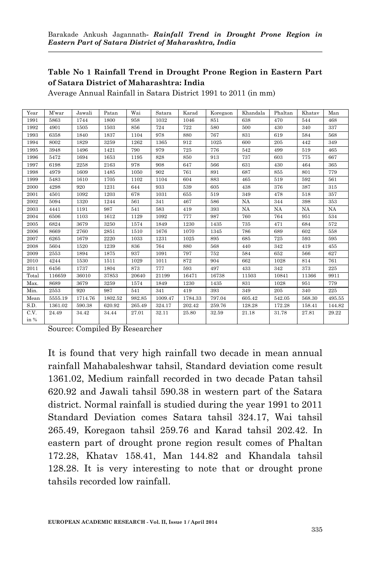#### **Table No 1 Rainfall Trend in Drought Prone Region in Eastern Part of Satara District of Maharashtra: India**

Average Annual Rainfall in Satara District 1991 to 2011 (in mm)

| Year  | <b>M</b> 'war | Jawali  | Patan   | Wai    | Satara  | Karad   | Koregaon | Khandala  | Phaltan   | Khatav    | Man    |
|-------|---------------|---------|---------|--------|---------|---------|----------|-----------|-----------|-----------|--------|
| 1991  | 5863          | 1744    | 1800    | 958    | 1032    | 1046    | 851      | 638       | 470       | 544       | 468    |
| 1992  | 4901          | 1505    | 1503    | 856    | 724     | 722     | 580      | 500       | 430       | 340       | 337    |
| 1993  | 6358          | 1840    | 1837    | 1104   | 978     | 880     | 767      | 831       | 619       | 584       | 568    |
| 1994  | 8002          | 1829    | 3259    | 1262   | 1365    | 912     | 1025     | 600       | 205       | 442       | 349    |
| 1995  | 3948          | 1496    | 1421    | 790    | 979     | 725     | 776      | 542       | 499       | 519       | 465    |
| 1996  | 5472          | 1694    | 1653    | 1195   | 828     | 850     | 913      | 737       | 603       | 775       | 667    |
| 1997  | 6198          | 2258    | 2163    | 978    | 908     | 647     | 566      | 631       | 430       | 464       | 365    |
| 1998  | 4979          | 1609    | 1485    | 1050   | 902     | 761     | 891      | 687       | 855       | 801       | 779    |
| 1999  | 5483          | 1610    | 1705    | 1102   | 1104    | 604     | 883      | 465       | 519       | 592       | 561    |
| 2000  | 4298          | 920     | 1231    | 644    | 933     | 539     | 605      | 438       | 376       | 387       | 315    |
| 2001  | 4501          | 1092    | 1203    | 678    | 1031    | 655     | 519      | 349       | 478       | 518       | 357    |
| 2002  | 5094          | 1320    | 1244    | 561    | 341     | 467     | 586      | NA        | 344       | 398       | 353    |
| 2003  | 4441          | 1191    | 987     | 541    | 583     | 419     | 393      | <b>NA</b> | <b>NA</b> | <b>NA</b> | NA     |
| 2004  | 6506          | 1103    | 1612    | 1129   | 1092    | 777     | 987      | 760       | 764       | 951       | 534    |
| 2005  | 6824          | 3679    | 3250    | 1574   | 1849    | 1230    | 1435     | 735       | 471       | 684       | 572    |
| 2006  | 8669          | 2760    | 2851    | 1510   | 1676    | 1070    | 1345     | 786       | 689       | 602       | 558    |
| 2007  | 6265          | 1679    | 2220    | 1033   | 1231    | 1025    | 895      | 685       | 725       | 593       | 595    |
| 2008  | 5604          | 1520    | 1239    | 836    | 764     | 880     | 568      | 440       | 342       | 419       | 455    |
| 2009  | 2553          | 1894    | 1875    | 937    | 1091    | 797     | 752      | 584       | 652       | 566       | 627    |
| 2010  | 4244          | 1530    | 1511    | 1029   | 1011    | 872     | 904      | 662       | 1028      | 814       | 761    |
| 2011  | 6456          | 1737    | 1804    | 873    | 777     | 593     | 497      | 433       | 342       | 373       | 225    |
| Total | 116659        | 36010   | 37853   | 20640  | 21199   | 16471   | 16738    | 11503     | 10841     | 11366     | 9911   |
| Max.  | 8689          | 3679    | 3259    | 1574   | 1849    | 1230    | 1435     | 831       | 1028      | 951       | 779    |
| Min.  | 2553          | 920     | 987     | 541    | 341     | 419     | 393      | 349       | 205       | 340       | 225    |
| Mean  | 5555.19       | 1714.76 | 1802.52 | 982.85 | 1009.47 | 1784.33 | 797.04   | 605.42    | 542.05    | 568.30    | 495.55 |
| S.D.  | 1361.02       | 590.38  | 620.92  | 265.49 | 324.17  | 202.42  | 259.76   | 128.28    | 172.28    | 158.41    | 144.82 |
| C.V.  | 24.49         | 34.42   | 34.44   | 27.01  | 32.11   | 25.80   | 32.59    | 21.18     | 31.78     | 27.81     | 29.22  |
| in %  |               |         |         |        |         |         |          |           |           |           |        |

Source: Compiled By Researcher

It is found that very high rainfall two decade in mean annual rainfall Mahabaleshwar tahsil, Standard deviation come result 1361.02, Medium rainfall recorded in two decade Patan tahsil 620.92 and Jawali tahsil 590.38 in western part of the Satara district. Normal rainfall is studied during the year 1991 to 2011 Standard Deviation comes Satara tahsil 324.17, Wai tahsil 265.49, Koregaon tahsil 259.76 and Karad tahsil 202.42. In eastern part of drought prone region result comes of Phaltan 172.28, Khatav 158.41, Man 144.82 and Khandala tahsil 128.28. It is very interesting to note that or drought prone tahsils recorded low rainfall.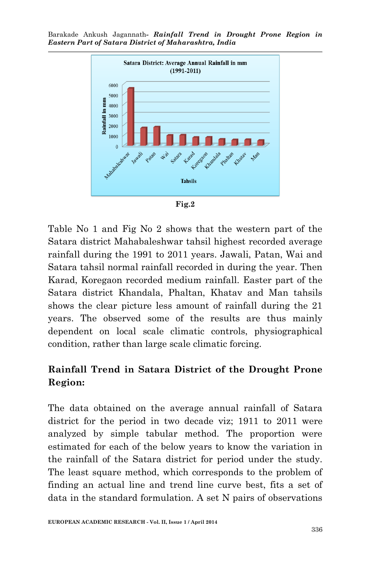



Table No 1 and Fig No 2 shows that the western part of the Satara district Mahabaleshwar tahsil highest recorded average rainfall during the 1991 to 2011 years. Jawali, Patan, Wai and Satara tahsil normal rainfall recorded in during the year. Then Karad, Koregaon recorded medium rainfall. Easter part of the Satara district Khandala, Phaltan, Khatav and Man tahsils shows the clear picture less amount of rainfall during the 21 years. The observed some of the results are thus mainly dependent on local scale climatic controls, physiographical condition, rather than large scale climatic forcing.

# **Rainfall Trend in Satara District of the Drought Prone Region:**

The data obtained on the average annual rainfall of Satara district for the period in two decade viz; 1911 to 2011 were analyzed by simple tabular method. The proportion were estimated for each of the below years to know the variation in the rainfall of the Satara district for period under the study. The least square method, which corresponds to the problem of finding an actual line and trend line curve best, fits a set of data in the standard formulation. A set N pairs of observations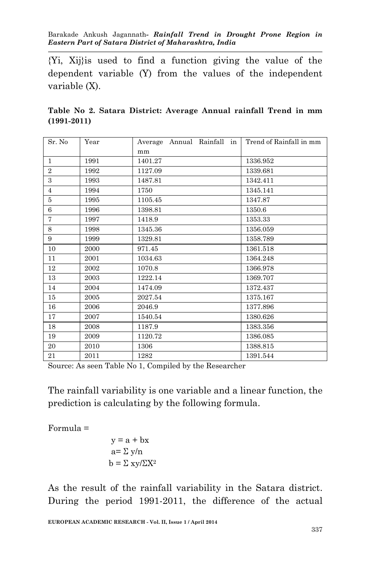{Yi, Xij}is used to find a function giving the value of the dependent variable (Y) from the values of the independent variable (X).

|                 |  |  | Table No 2. Satara District: Average Annual rainfall Trend in mm |  |  |  |
|-----------------|--|--|------------------------------------------------------------------|--|--|--|
| $(1991 - 2011)$ |  |  |                                                                  |  |  |  |

| Sr. No         | Year | Average Annual Rainfall in | Trend of Rainfall in mm |
|----------------|------|----------------------------|-------------------------|
|                |      | mm                         |                         |
| $\mathbf{1}$   | 1991 | 1401.27                    | 1336.952                |
| $\overline{2}$ | 1992 | 1127.09                    | 1339.681                |
| 3              | 1993 | 1487.81                    | 1342.411                |
| $\overline{4}$ | 1994 | 1750                       | 1345.141                |
| 5              | 1995 | 1105.45                    | 1347.87                 |
| 6              | 1996 | 1398.81                    | 1350.6                  |
| $\overline{7}$ | 1997 | 1418.9                     | 1353.33                 |
| 8              | 1998 | 1345.36                    | 1356.059                |
| 9              | 1999 | 1329.81                    | 1358.789                |
| 10             | 2000 | 971.45                     | 1361.518                |
| 11             | 2001 | 1034.63                    | 1364.248                |
| 12             | 2002 | 1070.8                     | 1366.978                |
| 13             | 2003 | 1222.14                    | 1369.707                |
| 14             | 2004 | 1474.09                    | 1372.437                |
| $15\,$         | 2005 | 2027.54                    | 1375.167                |
| 16             | 2006 | 2046.9                     | 1377.896                |
| 17             | 2007 | 1540.54                    | 1380.626                |
| 18             | 2008 | 1187.9                     | 1383.356                |
| 19             | 2009 | 1120.72                    | 1386.085                |
| 20             | 2010 | 1306                       | 1388.815                |
| 21             | 2011 | 1282                       | 1391.544                |

Source: As seen Table No 1, Compiled by the Researcher

The rainfall variability is one variable and a linear function, the prediction is calculating by the following formula.

Formula =

$$
y = a + bx
$$
  
a=  $\sum y/n$   
b =  $\sum xy/\sum X^2$ 

As the result of the rainfall variability in the Satara district. During the period 1991-2011, the difference of the actual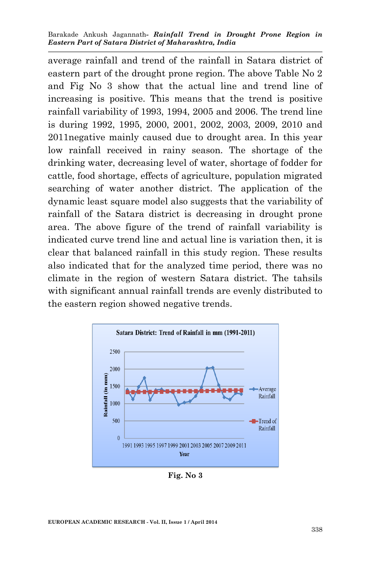average rainfall and trend of the rainfall in Satara district of eastern part of the drought prone region. The above Table No 2 and Fig No 3 show that the actual line and trend line of increasing is positive. This means that the trend is positive rainfall variability of 1993, 1994, 2005 and 2006. The trend line is during 1992, 1995, 2000, 2001, 2002, 2003, 2009, 2010 and 2011negative mainly caused due to drought area. In this year low rainfall received in rainy season. The shortage of the drinking water, decreasing level of water, shortage of fodder for cattle, food shortage, effects of agriculture, population migrated searching of water another district. The application of the dynamic least square model also suggests that the variability of rainfall of the Satara district is decreasing in drought prone area. The above figure of the trend of rainfall variability is indicated curve trend line and actual line is variation then, it is clear that balanced rainfall in this study region. These results also indicated that for the analyzed time period, there was no climate in the region of western Satara district. The tahsils with significant annual rainfall trends are evenly distributed to the eastern region showed negative trends.



**Fig. No 3**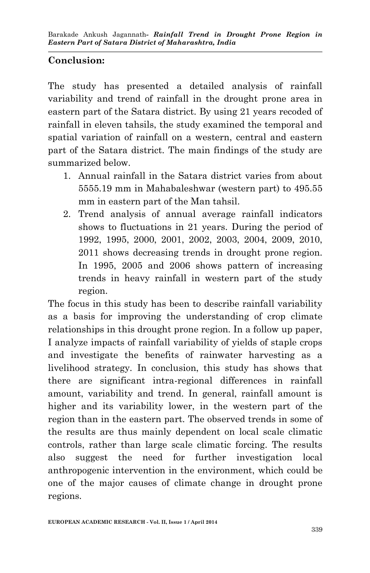# **Conclusion:**

The study has presented a detailed analysis of rainfall variability and trend of rainfall in the drought prone area in eastern part of the Satara district. By using 21 years recoded of rainfall in eleven tahsils, the study examined the temporal and spatial variation of rainfall on a western, central and eastern part of the Satara district. The main findings of the study are summarized below.

- 1. Annual rainfall in the Satara district varies from about 5555.19 mm in Mahabaleshwar (western part) to 495.55 mm in eastern part of the Man tahsil.
- 2. Trend analysis of annual average rainfall indicators shows to fluctuations in 21 years. During the period of 1992, 1995, 2000, 2001, 2002, 2003, 2004, 2009, 2010, 2011 shows decreasing trends in drought prone region. In 1995, 2005 and 2006 shows pattern of increasing trends in heavy rainfall in western part of the study region.

The focus in this study has been to describe rainfall variability as a basis for improving the understanding of crop climate relationships in this drought prone region. In a follow up paper, I analyze impacts of rainfall variability of yields of staple crops and investigate the benefits of rainwater harvesting as a livelihood strategy. In conclusion, this study has shows that there are significant intra-regional differences in rainfall amount, variability and trend. In general, rainfall amount is higher and its variability lower, in the western part of the region than in the eastern part. The observed trends in some of the results are thus mainly dependent on local scale climatic controls, rather than large scale climatic forcing. The results also suggest the need for further investigation local anthropogenic intervention in the environment, which could be one of the major causes of climate change in drought prone regions.